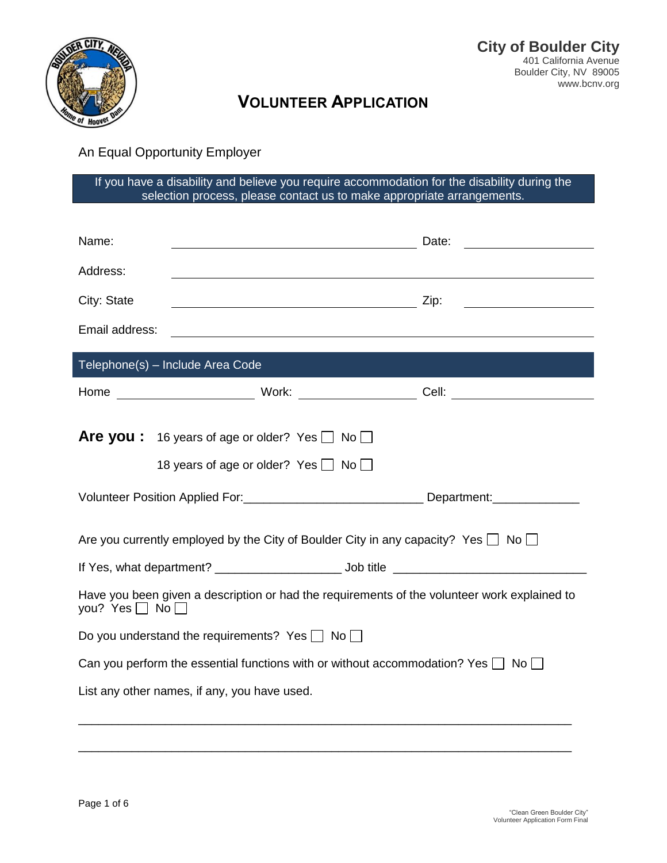

# **VOLUNTEER APPLICATION**

An Equal Opportunity Employer

If you have a disability and believe you require accommodation for the disability during the selection process, please contact us to make appropriate arrangements.

| Name:                                                                                                                     | <u> 2000 - Andrea Andrew Maria (h. 18</u>                      | Date:                                                                                                                |  |  |  |
|---------------------------------------------------------------------------------------------------------------------------|----------------------------------------------------------------|----------------------------------------------------------------------------------------------------------------------|--|--|--|
| Address:                                                                                                                  |                                                                |                                                                                                                      |  |  |  |
| City: State                                                                                                               |                                                                | <u> 1989 - Jan Stein Stein Stein Stein Stein Stein Stein Stein Stein Stein Stein Stein Stein Stein Stein Stein S</u> |  |  |  |
| Email address:                                                                                                            |                                                                |                                                                                                                      |  |  |  |
|                                                                                                                           |                                                                |                                                                                                                      |  |  |  |
|                                                                                                                           | Telephone(s) - Include Area Code                               |                                                                                                                      |  |  |  |
|                                                                                                                           |                                                                | Cell: ________________________                                                                                       |  |  |  |
|                                                                                                                           |                                                                |                                                                                                                      |  |  |  |
|                                                                                                                           | <b>Are you:</b> 16 years of age or older? Yes $\Box$ No $\Box$ |                                                                                                                      |  |  |  |
|                                                                                                                           | 18 years of age or older? Yes $\Box$ No $\Box$                 |                                                                                                                      |  |  |  |
|                                                                                                                           |                                                                | Volunteer Position Applied For: __________________________________Department: _____________________                  |  |  |  |
| Are you currently employed by the City of Boulder City in any capacity? Yes $\Box$ No $\Box$                              |                                                                |                                                                                                                      |  |  |  |
|                                                                                                                           |                                                                |                                                                                                                      |  |  |  |
| Have you been given a description or had the requirements of the volunteer work explained to<br>you? Yes $\Box$ No $\Box$ |                                                                |                                                                                                                      |  |  |  |
| Do you understand the requirements? Yes $\Box$ No $\Box$                                                                  |                                                                |                                                                                                                      |  |  |  |
| Can you perform the essential functions with or without accommodation? Yes $\Box$ No $\Box$                               |                                                                |                                                                                                                      |  |  |  |
| List any other names, if any, you have used.                                                                              |                                                                |                                                                                                                      |  |  |  |
|                                                                                                                           |                                                                |                                                                                                                      |  |  |  |
|                                                                                                                           |                                                                |                                                                                                                      |  |  |  |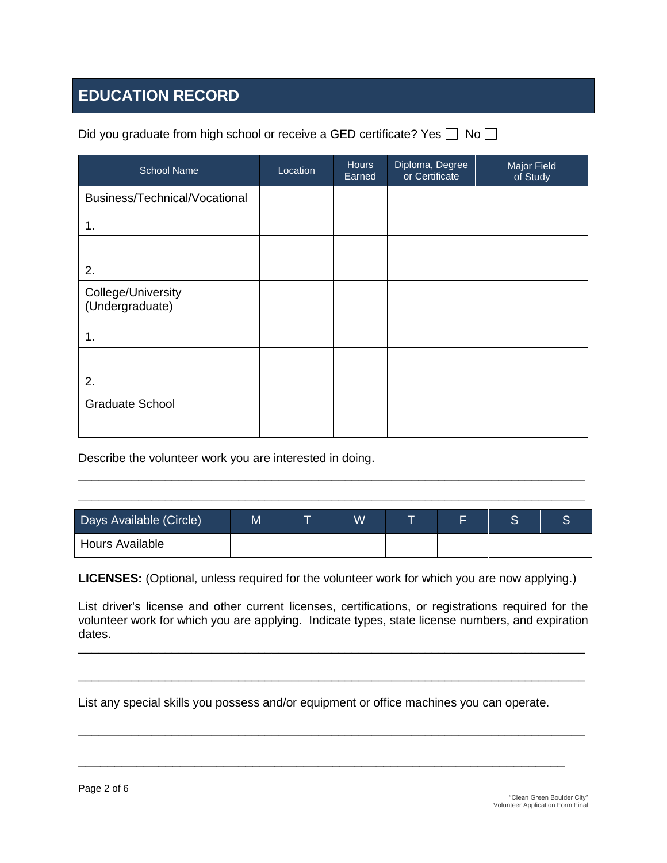## **EDUCATION RECORD**

| <b>School Name</b>                    | Location | <b>Hours</b><br>Earned | Diploma, Degree<br>or Certificate | Major Field<br>of Study |
|---------------------------------------|----------|------------------------|-----------------------------------|-------------------------|
| Business/Technical/Vocational         |          |                        |                                   |                         |
| 1.                                    |          |                        |                                   |                         |
|                                       |          |                        |                                   |                         |
| 2.                                    |          |                        |                                   |                         |
| College/University<br>(Undergraduate) |          |                        |                                   |                         |
| 1.                                    |          |                        |                                   |                         |
|                                       |          |                        |                                   |                         |
| 2.                                    |          |                        |                                   |                         |
| <b>Graduate School</b>                |          |                        |                                   |                         |

Did you graduate from high school or receive a GED certificate? Yes  $\Box$  No  $\Box$ 

Describe the volunteer work you are interested in doing.

| Days Available (Circle) | M | W |  | ⌒<br>c |  |
|-------------------------|---|---|--|--------|--|
| <b>Hours Available</b>  |   |   |  |        |  |

**\_\_\_\_\_\_\_\_\_\_\_\_\_\_\_\_\_\_\_\_\_\_\_\_\_\_\_\_\_\_\_\_\_\_\_\_\_\_\_\_\_\_\_\_\_\_\_\_\_\_\_\_\_\_\_\_\_\_\_\_\_\_\_\_\_\_\_\_\_\_\_\_\_\_\_\_ \_\_\_\_\_\_\_\_\_\_\_\_\_\_\_\_\_\_\_\_\_\_\_\_\_\_\_\_\_\_\_\_\_\_\_\_\_\_\_\_\_\_\_\_\_\_\_\_\_\_\_\_\_\_\_\_\_\_\_\_\_\_\_\_\_\_\_\_\_\_\_\_\_\_\_\_**

**LICENSES:** (Optional, unless required for the volunteer work for which you are now applying.)

List driver's license and other current licenses, certifications, or registrations required for the volunteer work for which you are applying. Indicate types, state license numbers, and expiration dates.

\_\_\_\_\_\_\_\_\_\_\_\_\_\_\_\_\_\_\_\_\_\_\_\_\_\_\_\_\_\_\_\_\_\_\_\_\_\_\_\_\_\_\_\_\_\_\_\_\_\_\_\_\_\_\_\_\_\_\_\_\_\_\_\_\_\_\_\_\_\_\_\_\_\_\_\_

\_\_\_\_\_\_\_\_\_\_\_\_\_\_\_\_\_\_\_\_\_\_\_\_\_\_\_\_\_\_\_\_\_\_\_\_\_\_\_\_\_\_\_\_\_\_\_\_\_\_\_\_\_\_\_\_\_\_\_\_\_\_\_\_\_\_\_\_\_\_\_\_\_\_\_\_

**\_\_\_\_\_\_\_\_\_\_\_\_\_\_\_\_\_\_\_\_\_\_\_\_\_\_\_\_\_\_\_\_\_\_\_\_\_\_\_\_\_\_\_\_\_\_\_\_\_\_\_\_\_\_\_\_\_\_\_\_\_\_\_\_\_\_\_\_\_\_\_\_\_\_\_\_**

\_\_\_\_\_\_\_\_\_\_\_\_\_\_\_\_\_\_\_\_\_\_\_\_\_\_\_\_\_\_\_\_\_\_\_\_\_\_\_\_\_\_\_\_\_\_\_\_\_\_\_\_\_\_\_\_\_\_\_\_\_\_\_\_\_\_\_

List any special skills you possess and/or equipment or office machines you can operate.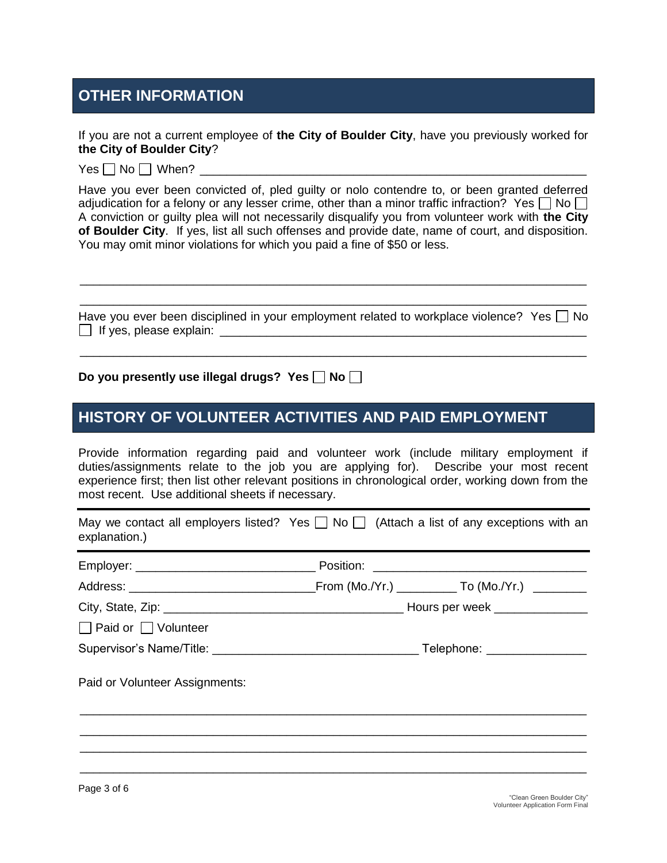### **OTHER INFORMATION**

If you are not a current employee of **the City of Boulder City**, have you previously worked for **the City of Boulder City**?

 $Yes \Box No \Box$  When?

Have you ever been convicted of, pled guilty or nolo contendre to, or been granted deferred adjudication for a felony or any lesser crime, other than a minor traffic infraction? Yes  $\Box$  No  $\Box$ A conviction or guilty plea will not necessarily disqualify you from volunteer work with **the City of Boulder City**. If yes, list all such offenses and provide date, name of court, and disposition. You may omit minor violations for which you paid a fine of \$50 or less.

Have you ever been disciplined in your employment related to workplace violence? Yes  $\Box$  No  $\Box$  If yes, please explain:

\_\_\_\_\_\_\_\_\_\_\_\_\_\_\_\_\_\_\_\_\_\_\_\_\_\_\_\_\_\_\_\_\_\_\_\_\_\_\_\_\_\_\_\_\_\_\_\_\_\_\_\_\_\_\_\_\_\_\_\_\_\_\_\_\_\_\_\_\_\_\_\_\_\_\_\_

\_\_\_\_\_\_\_\_\_\_\_\_\_\_\_\_\_\_\_\_\_\_\_\_\_\_\_\_\_\_\_\_\_\_\_\_\_\_\_\_\_\_\_\_\_\_\_\_\_\_\_\_\_\_\_\_\_\_\_\_\_\_\_\_\_\_\_\_\_\_\_\_\_\_\_\_ \_\_\_\_\_\_\_\_\_\_\_\_\_\_\_\_\_\_\_\_\_\_\_\_\_\_\_\_\_\_\_\_\_\_\_\_\_\_\_\_\_\_\_\_\_\_\_\_\_\_\_\_\_\_\_\_\_\_\_\_\_\_\_\_\_\_\_\_\_\_\_\_\_\_\_\_

#### Do you presently use illegal drugs? Yes  $\Box$  No  $\Box$

#### **HISTORY OF VOLUNTEER ACTIVITIES AND PAID EMPLOYMENT**

Provide information regarding paid and volunteer work (include military employment if duties/assignments relate to the job you are applying for). Describe your most recent experience first; then list other relevant positions in chronological order, working down from the most recent. Use additional sheets if necessary.

May we contact all employers listed? Yes  $\Box$  No  $\Box$  (Attach a list of any exceptions with an explanation.)

Employer: \_\_\_\_\_\_\_\_\_\_\_\_\_\_\_\_\_\_\_\_\_\_\_\_\_\_\_ Position: \_\_\_\_\_\_\_\_\_\_\_\_\_\_\_\_\_\_\_\_\_\_\_\_\_\_\_\_\_\_\_\_ Address: \_\_\_\_\_\_\_\_\_\_\_\_\_\_\_\_\_\_\_\_\_\_\_\_\_\_\_\_From (Mo./Yr.) \_\_\_\_\_\_\_\_\_ To (Mo./Yr.) \_\_\_\_\_\_\_\_ City, State, Zip: example and the state of the Hours per week  $\overline{a}$  $\Box$  Paid or  $\Box$  Volunteer Supervisor's Name/Title: \_\_\_\_\_\_\_\_\_\_\_\_\_\_\_\_\_\_\_\_\_\_\_\_\_\_\_\_\_\_\_ Telephone: \_\_\_\_\_\_\_\_\_\_\_\_\_\_\_ Paid or Volunteer Assignments: \_\_\_\_\_\_\_\_\_\_\_\_\_\_\_\_\_\_\_\_\_\_\_\_\_\_\_\_\_\_\_\_\_\_\_\_\_\_\_\_\_\_\_\_\_\_\_\_\_\_\_\_\_\_\_\_\_\_\_\_\_\_\_\_\_\_\_\_\_\_\_\_\_\_\_\_ \_\_\_\_\_\_\_\_\_\_\_\_\_\_\_\_\_\_\_\_\_\_\_\_\_\_\_\_\_\_\_\_\_\_\_\_\_\_\_\_\_\_\_\_\_\_\_\_\_\_\_\_\_\_\_\_\_\_\_\_\_\_\_\_\_\_\_\_\_\_\_\_\_\_\_\_ \_\_\_\_\_\_\_\_\_\_\_\_\_\_\_\_\_\_\_\_\_\_\_\_\_\_\_\_\_\_\_\_\_\_\_\_\_\_\_\_\_\_\_\_\_\_\_\_\_\_\_\_\_\_\_\_\_\_\_\_\_\_\_\_\_\_\_\_\_\_\_\_\_\_\_\_ \_\_\_\_\_\_\_\_\_\_\_\_\_\_\_\_\_\_\_\_\_\_\_\_\_\_\_\_\_\_\_\_\_\_\_\_\_\_\_\_\_\_\_\_\_\_\_\_\_\_\_\_\_\_\_\_\_\_\_\_\_\_\_\_\_\_\_\_\_\_\_\_\_\_\_\_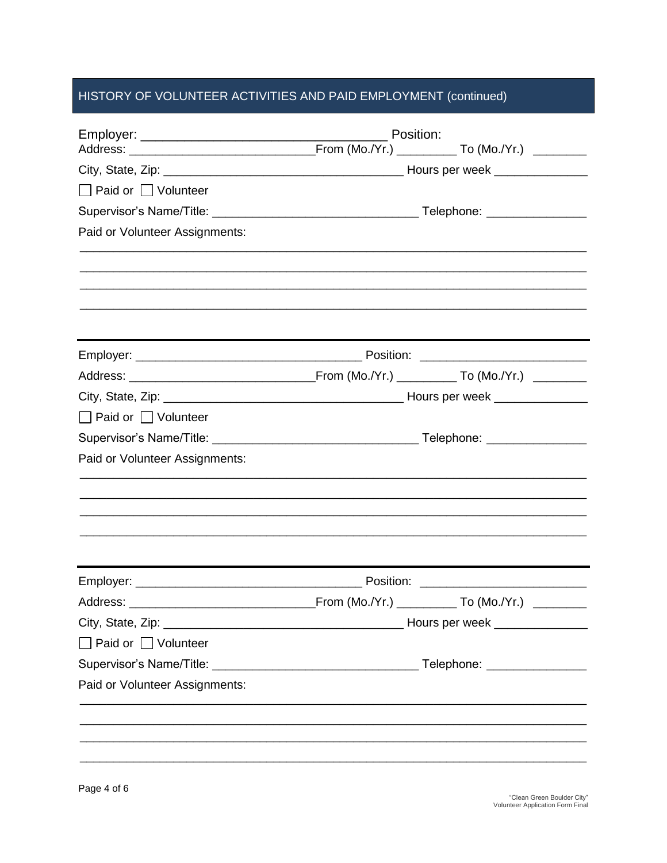#### HISTORY OF VOLUNTEER ACTIVITIES AND PAID EMPLOYMENT (continued)

|                                 | Position: |  |  |  |
|---------------------------------|-----------|--|--|--|
|                                 |           |  |  |  |
| □ Paid or □ Volunteer           |           |  |  |  |
|                                 |           |  |  |  |
| Paid or Volunteer Assignments:  |           |  |  |  |
|                                 |           |  |  |  |
|                                 |           |  |  |  |
|                                 |           |  |  |  |
|                                 |           |  |  |  |
|                                 |           |  |  |  |
| □ Paid or □ Volunteer           |           |  |  |  |
|                                 |           |  |  |  |
| Paid or Volunteer Assignments:  |           |  |  |  |
|                                 |           |  |  |  |
|                                 |           |  |  |  |
|                                 |           |  |  |  |
|                                 |           |  |  |  |
| $\Box$ Paid or $\Box$ Volunteer |           |  |  |  |
|                                 |           |  |  |  |
| Paid or Volunteer Assignments:  |           |  |  |  |
|                                 |           |  |  |  |
|                                 |           |  |  |  |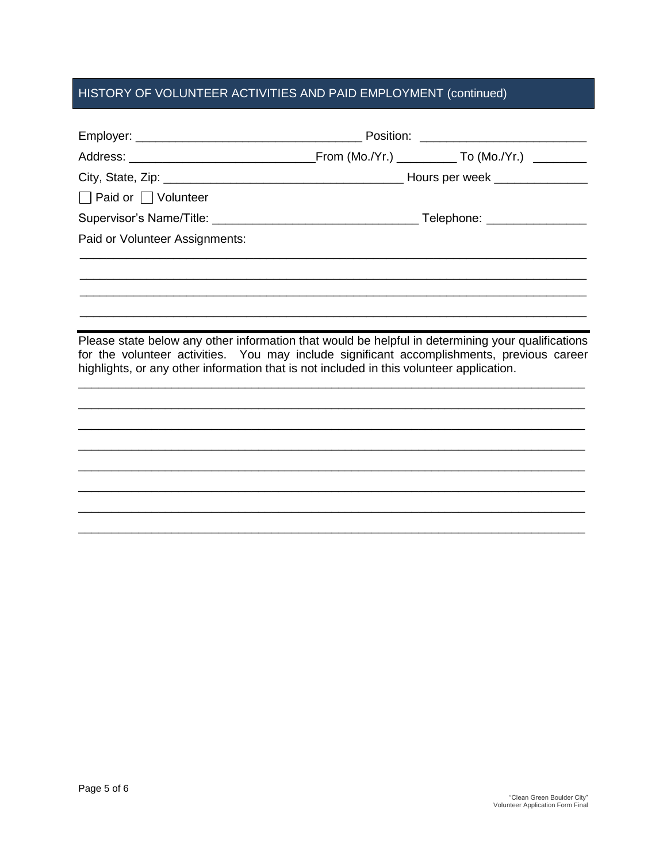## HISTORY OF VOLUNTEER ACTIVITIES AND PAID EMPLOYMENT (continued)

| $\Box$ Paid or $\Box$ Volunteer                                                                                                                                                                                                                                                             |                              |  |  |
|---------------------------------------------------------------------------------------------------------------------------------------------------------------------------------------------------------------------------------------------------------------------------------------------|------------------------------|--|--|
|                                                                                                                                                                                                                                                                                             | Telephone: _________________ |  |  |
| Paid or Volunteer Assignments:                                                                                                                                                                                                                                                              |                              |  |  |
|                                                                                                                                                                                                                                                                                             |                              |  |  |
|                                                                                                                                                                                                                                                                                             |                              |  |  |
| Please state below any other information that would be helpful in determining your qualifications<br>for the volunteer activities. You may include significant accomplishments, previous career<br>highlights, or any other information that is not included in this volunteer application. |                              |  |  |
|                                                                                                                                                                                                                                                                                             |                              |  |  |
|                                                                                                                                                                                                                                                                                             |                              |  |  |
|                                                                                                                                                                                                                                                                                             |                              |  |  |
|                                                                                                                                                                                                                                                                                             |                              |  |  |
|                                                                                                                                                                                                                                                                                             |                              |  |  |